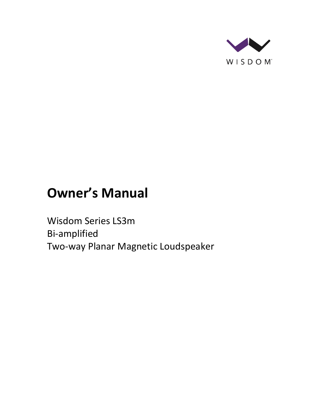

# **Owner's Manual**

Wisdom Series LS3m Bi-amplified Two-way Planar Magnetic Loudspeaker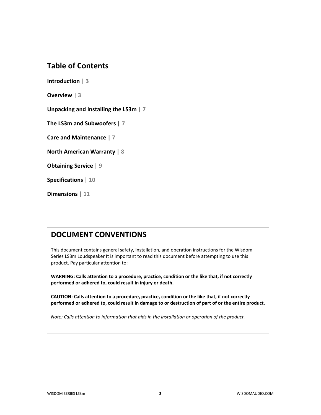## **Table of Contents**

**Introduction | 3**

**Overview | 3**

**Unpacking and Installing the LS3m | 7**

**The LS3m and Subwoofers | 7**

**Care and Maintenance | 7**

**North American Warranty | 8**

**Obtaining Service | 9**

**Specifications | 10**

**Dimensions | 11**

## **DOCUMENT CONVENTIONS**

This document contains general safety, installation, and operation instructions for the Wisdom Series LS3m Loudspeaker It is important to read this document before attempting to use this product. Pay particular attention to:

**WARNING: Calls attention to a procedure, practice, condition or the like that, if not correctly performed or adhered to, could result in injury or death.** 

**CAUTION: Calls attention to a procedure, practice, condition or the like that, if not correctly performed or adhered to, could result in damage to or destruction of part of or the entire product.** 

*Note: Calls attention to information that aids in the installation or operation of the product.*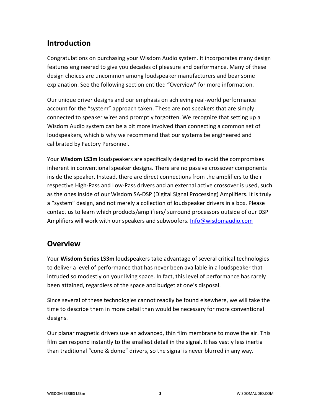## **Introduction**

Congratulations on purchasing your Wisdom Audio system. It incorporates many design features engineered to give you decades of pleasure and performance. Many of these design choices are uncommon among loudspeaker manufacturers and bear some explanation. See the following section entitled "Overview" for more information.

Our unique driver designs and our emphasis on achieving real-world performance account for the "system" approach taken. These are not speakers that are simply connected to speaker wires and promptly forgotten. We recognize that setting up a Wisdom Audio system can be a bit more involved than connecting a common set of loudspeakers, which is why we recommend that our systems be engineered and calibrated by Factory Personnel.

Your **Wisdom LS3m** loudspeakers are specifically designed to avoid the compromises inherent in conventional speaker designs. There are no passive crossover components inside the speaker. Instead, there are direct connections from the amplifiers to their respective High-Pass and Low-Pass drivers and an external active crossover is used, such as the ones inside of our Wisdom SA-DSP (Digital Signal Processing) Amplifiers. It is truly a "system" design, and not merely a collection of loudspeaker drivers in a box. Please contact us to learn which products/amplifiers/ surround processors outside of our DSP Amplifiers will work with our speakers and subwoofers. [Info@wisdomaudio.com](mailto:Info@wisdomaudio.com)

### **Overview**

Your **Wisdom Series LS3m** loudspeakers take advantage of several critical technologies to deliver a level of performance that has never been available in a loudspeaker that intruded so modestly on your living space. In fact, this level of performance has rarely been attained, regardless of the space and budget at one's disposal.

Since several of these technologies cannot readily be found elsewhere, we will take the time to describe them in more detail than would be necessary for more conventional designs.

Our planar magnetic drivers use an advanced, thin film membrane to move the air. This film can respond instantly to the smallest detail in the signal. It has vastly less inertia than traditional "cone & dome" drivers, so the signal is never blurred in any way.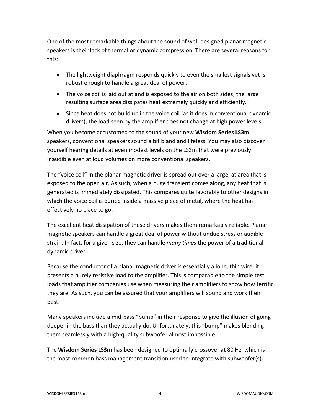One of the most remarkable things about the sound of well-designed planar magnetic speakers is their lack of thermal or dynamic compression. There are several reasons for this:

- The lightweight diaphragm responds quickly to even the smallest signals yet is robust enough to handle a great deal of power.
- The voice coil is laid out at and is exposed to the air on both sides; the large resulting surface area dissipates heat extremely quickly and efficiently.
- Since heat does not build up in the voice coil (as it does in conventional dynamic drivers), the load seen by the amplifier does not change at high power levels.

When you become accustomed to the sound of your new **Wisdom Series LS3m**  speakers, conventional speakers sound a bit bland and lifeless. You may also discover yourself hearing details at even modest levels on the LS3m that were previously inaudible even at loud volumes on more conventional speakers.

The "voice coil" in the planar magnetic driver is spread out over a large, at area that is exposed to the open air. As such, when a huge transient comes along, any heat that is generated is immediately dissipated. This compares quite favorably to other designs in which the voice coil is buried inside a massive piece of metal, where the heat has effectively no place to go.

The excellent heat dissipation of these drivers makes them remarkably reliable. Planar magnetic speakers can handle a great deal of power without undue stress or audible strain. In fact, for a given size, they can handle *many times* the power of a traditional dynamic driver.

Because the conductor of a planar magnetic driver is essentially a long, thin wire, it presents a purely resistive load to the amplifier. This is comparable to the simple test loads that amplifier companies use when measuring their amplifiers to show how terrific they are. As such, you can be assured that your amplifiers will sound and work their best.

Many speakers include a mid-bass "bump" in their response to give the illusion of going deeper in the bass than they actually do. Unfortunately, this "bump" makes blending them seamlessly with a high-quality subwoofer almost impossible.

The **Wisdom Series LS3m** has been designed to optimally crossover at 80 Hz, which is the most common bass management transition used to integrate with subwoofer(s)**.**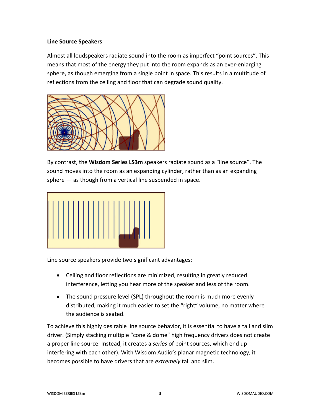#### **Line Source Speakers**

Almost all loudspeakers radiate sound into the room as imperfect "point sources". This means that most of the energy they put into the room expands as an ever-enlarging sphere, as though emerging from a single point in space. This results in a multitude of reflections from the ceiling and floor that can degrade sound quality.



By contrast, the **Wisdom Series LS3m** speakers radiate sound as a "line source". The sound moves into the room as an expanding cylinder, rather than as an expanding sphere — as though from a vertical line suspended in space.



Line source speakers provide two significant advantages:

- Ceiling and floor reflections are minimized, resulting in greatly reduced interference, letting you hear more of the speaker and less of the room.
- The sound pressure level (SPL) throughout the room is much more evenly distributed, making it much easier to set the "right" volume, no matter where the audience is seated.

To achieve this highly desirable line source behavior, it is essential to have a tall and slim driver. (Simply stacking multiple "cone & dome" high frequency drivers does not create a proper line source. Instead, it creates a *series* of point sources, which end up interfering with each other). With Wisdom Audio's planar magnetic technology, it becomes possible to have drivers that are *extremely* tall and slim.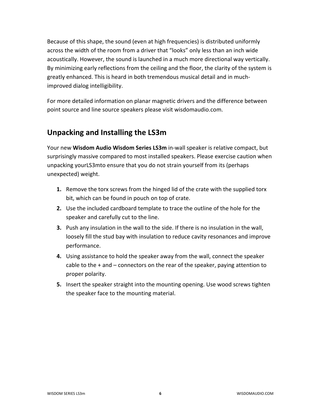Because of this shape, the sound (even at high frequencies) is distributed uniformly across the width of the room from a driver that "looks" only less than an inch wide acoustically. However, the sound is launched in a much more directional way vertically. By minimizing early reflections from the ceiling and the floor, the clarity of the system is greatly enhanced. This is heard in both tremendous musical detail and in muchimproved dialog intelligibility.

For more detailed information on planar magnetic drivers and the difference between point source and line source speakers please visit wisdomaudio.com.

## **Unpacking and Installing the LS3m**

Your new **Wisdom Audio Wisdom Series LS3m** in-wall speaker is relative compact, but surprisingly massive compared to most installed speakers. Please exercise caution when unpacking yourLS3mto ensure that you do not strain yourself from its (perhaps unexpected) weight.

- **1.** Remove the torx screws from the hinged lid of the crate with the supplied torx bit, which can be found in pouch on top of crate.
- **2.** Use the included cardboard template to trace the outline of the hole for the speaker and carefully cut to the line.
- **3.** Push any insulation in the wall to the side. If there is no insulation in the wall, loosely fill the stud bay with insulation to reduce cavity resonances and improve performance.
- **4.** Using assistance to hold the speaker away from the wall, connect the speaker cable to the + and – connectors on the rear of the speaker, paying attention to proper polarity.
- **5.** Insert the speaker straight into the mounting opening. Use wood screws tighten the speaker face to the mounting material.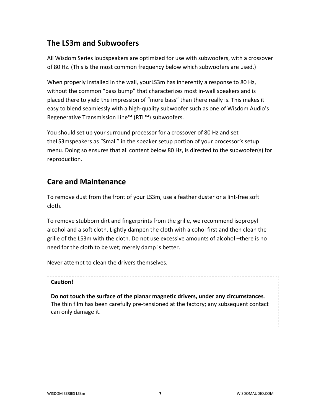## **The LS3m and Subwoofers**

All Wisdom Series loudspeakers are optimized for use with subwoofers, with a crossover of 80 Hz. (This is the most common frequency below which subwoofers are used.)

When properly installed in the wall, yourLS3m has inherently a response to 80 Hz, without the common "bass bump" that characterizes most in-wall speakers and is placed there to yield the impression of "more bass" than there really is. This makes it easy to blend seamlessly with a high-quality subwoofer such as one of Wisdom Audio's Regenerative Transmission Line™ (RTL™) subwoofers.

You should set up your surround processor for a crossover of 80 Hz and set theLS3mspeakers as "Small" in the speaker setup portion of your processor's setup menu. Doing so ensures that all content below 80 Hz, is directed to the subwoofer(s) for reproduction.

## **Care and Maintenance**

To remove dust from the front of your LS3m, use a feather duster or a lint-free soft cloth.

To remove stubborn dirt and fingerprints from the grille, we recommend isopropyl alcohol and a soft cloth. Lightly dampen the cloth with alcohol first and then clean the grille of the LS3m with the cloth. Do not use excessive amounts of alcohol –there is no need for the cloth to be wet; merely damp is better.

Never attempt to clean the drivers themselves.

#### **Caution!**

**Do not touch the surface of the planar magnetic drivers, under any circumstances**. The thin film has been carefully pre-tensioned at the factory; any subsequent contact can only damage it.

WISDOM SERIES LS3m **7** WISDOMAUDIO.COM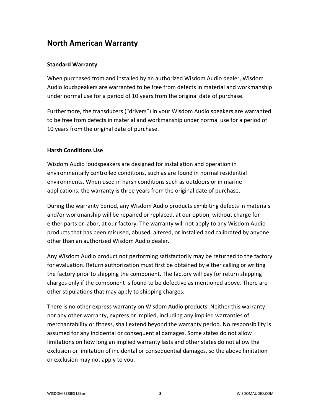## **North American Warranty**

#### **Standard Warranty**

When purchased from and installed by an authorized Wisdom Audio dealer, Wisdom Audio loudspeakers are warranted to be free from defects in material and workmanship under normal use for a period of 10 years from the original date of purchase.

Furthermore, the transducers ("drivers") in your Wisdom Audio speakers are warranted to be free from defects in material and workmanship under normal use for a period of 10 years from the original date of purchase.

#### **Harsh Conditions Use**

Wisdom Audio loudspeakers are designed for installation and operation in environmentally controlled conditions, such as are found in normal residential environments. When used in harsh conditions such as outdoors or in marine applications, the warranty is three years from the original date of purchase.

During the warranty period, any Wisdom Audio products exhibiting defects in materials and/or workmanship will be repaired or replaced, at our option, without charge for either parts or labor, at our factory. The warranty will not apply to any Wisdom Audio products that has been misused, abused, altered, or installed and calibrated by anyone other than an authorized Wisdom Audio dealer.

Any Wisdom Audio product not performing satisfactorily may be returned to the factory for evaluation. Return authorization must first be obtained by either calling or writing the factory prior to shipping the component. The factory will pay for return shipping charges only if the component is found to be defective as mentioned above. There are other stipulations that may apply to shipping charges.

There is no other express warranty on Wisdom Audio products. Neither this warranty nor any other warranty, express or implied, including any implied warranties of merchantability or fitness, shall extend beyond the warranty period. No responsibility is assumed for any incidental or consequential damages. Some states do not allow limitations on how long an implied warranty lasts and other states do not allow the exclusion or limitation of incidental or consequential damages, so the above limitation or exclusion may not apply to you.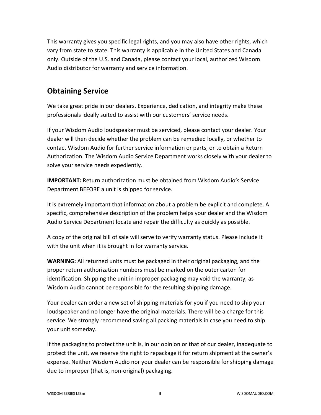This warranty gives you specific legal rights, and you may also have other rights, which vary from state to state. This warranty is applicable in the United States and Canada only. Outside of the U.S. and Canada, please contact your local, authorized Wisdom Audio distributor for warranty and service information.

## **Obtaining Service**

We take great pride in our dealers. Experience, dedication, and integrity make these professionals ideally suited to assist with our customers' service needs.

If your Wisdom Audio loudspeaker must be serviced, please contact your dealer. Your dealer will then decide whether the problem can be remedied locally, or whether to contact Wisdom Audio for further service information or parts, or to obtain a Return Authorization. The Wisdom Audio Service Department works closely with your dealer to solve your service needs expediently.

**IMPORTANT:** Return authorization must be obtained from Wisdom Audio's Service Department BEFORE a unit is shipped for service.

It is extremely important that information about a problem be explicit and complete. A specific, comprehensive description of the problem helps your dealer and the Wisdom Audio Service Department locate and repair the difficulty as quickly as possible.

A copy of the original bill of sale will serve to verify warranty status. Please include it with the unit when it is brought in for warranty service.

**WARNING:** All returned units must be packaged in their original packaging, and the proper return authorization numbers must be marked on the outer carton for identification. Shipping the unit in improper packaging may void the warranty, as Wisdom Audio cannot be responsible for the resulting shipping damage.

Your dealer can order a new set of shipping materials for you if you need to ship your loudspeaker and no longer have the original materials. There will be a charge for this service. We strongly recommend saving all packing materials in case you need to ship your unit someday.

If the packaging to protect the unit is, in our opinion or that of our dealer, inadequate to protect the unit, we reserve the right to repackage it for return shipment at the owner's expense. Neither Wisdom Audio nor your dealer can be responsible for shipping damage due to improper (that is, non-original) packaging.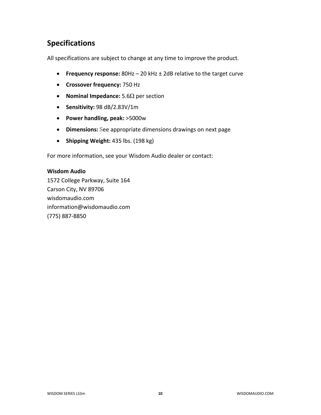# **Specifications**

All specifications are subject to change at any time to improve the product.

- **Frequency response:** 80Hz 20 kHz ± 2dB relative to the target curve
- **Crossover frequency:** 750 Hz
- **Nominal Impedance:** 5.6Ω per section
- **Sensitivity:** 98 dB/2.83V/1m
- **Power handling, peak:** >5000w
- **Dimensions:** See appropriate dimensions drawings on next page
- **Shipping Weight:** 435 lbs. (198 kg)

For more information, see your Wisdom Audio dealer or contact:

#### **Wisdom Audio**

1572 College Parkway, Suite 164 Carson City, NV 89706 wisdomaudio.com information@wisdomaudio.com (775) 887-8850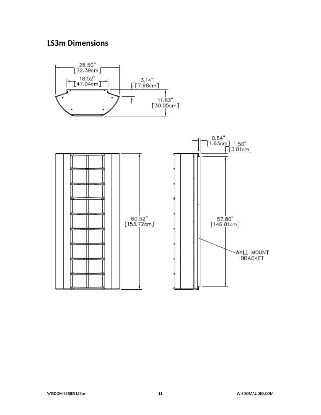## **LS3m Dimensions**